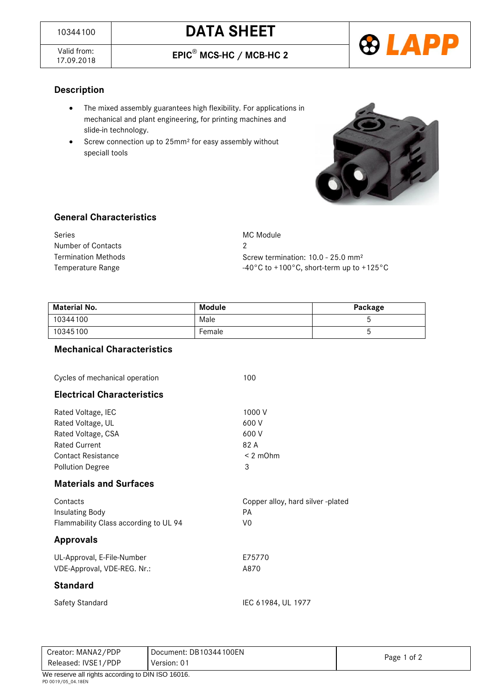Valid from:<br>17.09.2018

17.09.2018 **EPIC**® **MCS-HC / MCB-HC 2** 



# **Description**

- The mixed assembly guarantees high flexibility. For applications in mechanical and plant engineering, for printing machines and slide-in technology.
- Screw connection up to 25mm<sup>2</sup> for easy assembly without speciall tools



### **General Characteristics**

| Series              | MC Module                                                                |  |
|---------------------|--------------------------------------------------------------------------|--|
| Number of Contacts  |                                                                          |  |
| Termination Methods | Screw termination: $10.0 - 25.0$ mm <sup>2</sup>                         |  |
| Temperature Range   | $-40^{\circ}$ C to +100 $^{\circ}$ C, short-term up to +125 $^{\circ}$ C |  |

| <b>Material No.</b> | Module | Package |
|---------------------|--------|---------|
| 10344100            | Male   |         |
| 10345100            | Female |         |

#### **Mechanical Characteristics**

| Cycles of mechanical operation                                                                                                                | 100                                                    |
|-----------------------------------------------------------------------------------------------------------------------------------------------|--------------------------------------------------------|
| <b>Electrical Characteristics</b>                                                                                                             |                                                        |
| Rated Voltage, IEC<br>Rated Voltage, UL<br>Rated Voltage, CSA<br><b>Rated Current</b><br><b>Contact Resistance</b><br><b>Pollution Degree</b> | 1000 V<br>600 V<br>600 V<br>82 A<br>$< 2$ m $Ohm$<br>3 |
| <b>Materials and Surfaces</b>                                                                                                                 |                                                        |
| Contacts<br>Insulating Body<br>Flammability Class according to UL 94                                                                          | Copper alloy, hard silver -plated<br>PA<br>V0          |
| <b>Approvals</b>                                                                                                                              |                                                        |
| UL-Approval, E-File-Number<br>VDE-Approval, VDE-REG. Nr.:                                                                                     | E75770<br>A870                                         |
| <b>Standard</b>                                                                                                                               |                                                        |
| <b>Safety Standard</b>                                                                                                                        | IEC 61984, UL 1977                                     |

| Creator: MANA2/PDP                               | Document: DB10344100EN |             |  |
|--------------------------------------------------|------------------------|-------------|--|
| Released: IVSE1/PDP                              | Version: 01            | Page 1 of 2 |  |
| We reserve all rights according to DIN ISO 16016 |                        |             |  |